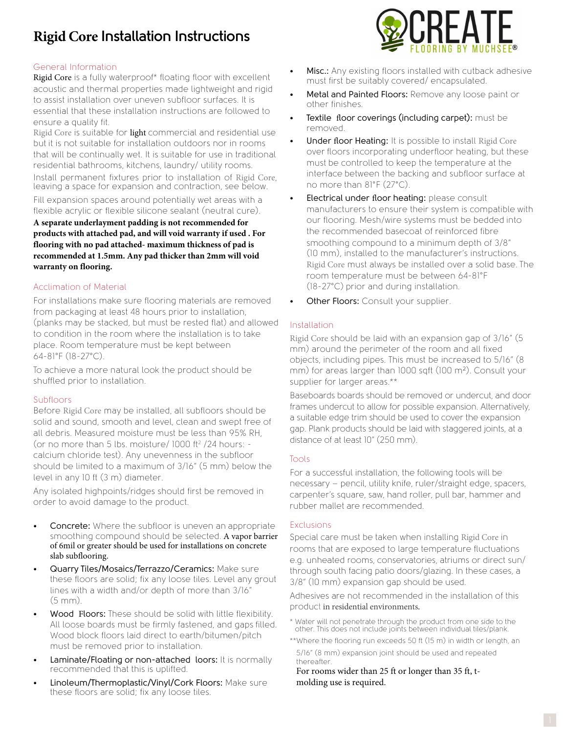# **Rigid Core Installation Instructions**

## General Information

Rigid Core is a fully waterproof\* floating floor with excellent acoustic and thermal properties made lightweight and rigid to assist installation over uneven subfloor surfaces. It is essential that these installation instructions are followed to ensure a quality fit.

Rigid Core is suitable for light commercial and residential use but it is not suitable for installation outdoors nor in rooms that will be continually wet. It is suitable for use in traditional residential bathrooms, kitchens, laundry/ utility rooms. Install permanent fixtures prior to installation of Rigid Core, leaving a space for expansion and contraction, see below. Fill expansion spaces around potentially wet areas with a

flexible acrylic or flexible silicone sealant (neutral cure). **A separate underlayment padding is not recommended for products with attached pad, and will void warranty if used . For flooring with no pad attached- maximum thickness of pad is recommended at 1.5mm. Any pad thicker than 2mm will void warranty on flooring.**

### Acclimation of Material

For installations make sure flooring materials are removed from packaging at least 48 hours prior to installation, (planks may be stacked, but must be rested flat) and allowed to condition in the room where the installation is to take place. Room temperature must be kept between 64-81°F (18-27°C).

To achieve a more natural look the product should be shuffled prior to installation.

#### Subfloors

Before Rigid Core may be installed, all subfloors should be solid and sound, smooth and level, clean and swept free of all debris. Measured moisture must be less than 95% RH, (or no more than 5 lbs. moisture/  $1000$  ft<sup>2</sup>/24 hours: calcium chloride test). Any unevenness in the subfloor should be limited to a maximum of 3/16" (5 mm) below the level in any 10 ft (3 m) diameter.

Any isolated highpoints/ridges should first be removed in order to avoid damage to the product.

- Concrete: Where the subfloor is uneven an appropriate smoothing compound should be selected. A vapor barrier of 6mil or greater should be used for installations on concrete slab subflooring.
- Quarry Tiles/Mosaics/Terrazzo/Ceramics: Make sure these floors are solid; fix any loose tiles. Level any grout lines with a width and/or depth of more than 3/16" (5 mm).
- Wood Floors: These should be solid with little flexibility. All loose boards must be firmly fastened, and gaps filled. Wood block floors laid direct to earth/bitumen/pitch must be removed prior to installation.
- Laminate/Floating or non-attached loors: It is normally recommended that this is uplifted.
- Linoleum/Thermoplastic/Vinyl/Cork Floors: Make sure these floors are solid; fix any loose tiles.



- Misc.: Any existing floors installed with cutback adhesive must first be suitably covered/ encapsulated.
- Metal and Painted Floors: Remove any loose paint or other finishes.
- **Textile floor coverings (including carpet):** must be removed.
- Under floor Heating: It is possible to install Rigid Core over floors incorporating underfloor heating, but these must be controlled to keep the temperature at the interface between the backing and subfloor surface at no more than 81°F (27°C).
- Electrical under floor heating: please consult manufacturers to ensure their system is compatible with our flooring. Mesh/wire systems must be bedded into the recommended basecoat of reinforced fibre smoothing compound to a minimum depth of 3/8" (10 mm), installed to the manufacturer's instructions. Rigid Core must always be installed over a solid base. The room temperature must be between 64-81°F (18-27°C) prior and during installation.
- Other Floors: Consult your supplier.

### Installation

Rigid Core should be laid with an expansion gap of 3/16" (5 mm) around the perimeter of the room and all fixed objects, including pipes. This must be increased to 5/16" (8 mm) for areas larger than 1000 sqft (100 m²). Consult your supplier for larger areas.\*\*

Baseboards boards should be removed or undercut, and door frames undercut to allow for possible expansion. Alternatively, a suitable edge trim should be used to cover the expansion gap. Plank products should be laid with staggered joints, at a distance of at least 10" (250 mm).

# Tools

For a successful installation, the following tools will be necessary – pencil, utility knife, ruler/straight edge, spacers, carpenter's square, saw, hand roller, pull bar, hammer and rubber mallet are recommended.

#### **Exclusions**

Special care must be taken when installing Rigid Core in rooms that are exposed to large temperature fluctuations e.g. unheated rooms, conservatories, atriums or direct sun/ through south facing patio doors/glazing. In these cases, a 3/8" (10 mm) expansion gap should be used.

Adhesives are not recommended in the installation of this product in residential environments.

- \* Water will not penetrate through the product from one side to the other. This does not include joints between individual tiles/plank.
- \*\* Where the flooring run exceeds 50 ft (15 m) in width or length, an 5/16" (8 mm) expansion joint should be used and repeated thereafter.

For rooms wider than 25 ft or longer than 35 ft, tmolding use is required.